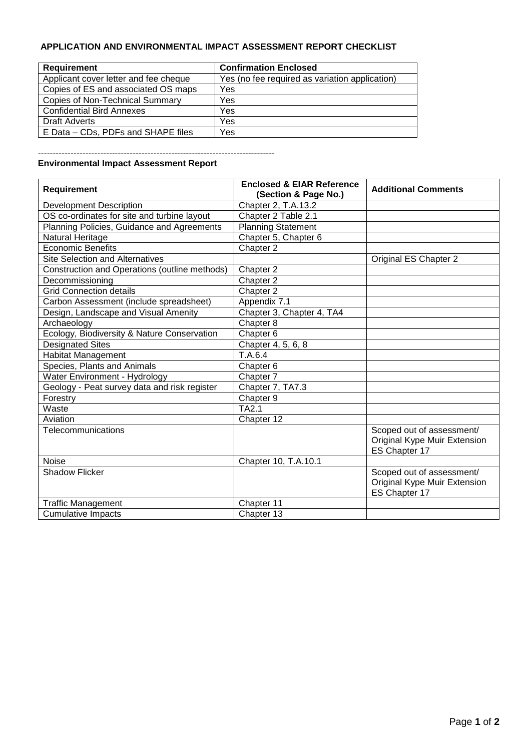## **APPLICATION AND ENVIRONMENTAL IMPACT ASSESSMENT REPORT CHECKLIST**

| <b>Requirement</b>                     | <b>Confirmation Enclosed</b>                   |
|----------------------------------------|------------------------------------------------|
| Applicant cover letter and fee cheque  | Yes (no fee required as variation application) |
| Copies of ES and associated OS maps    | Yes                                            |
| <b>Copies of Non-Technical Summary</b> | Yes                                            |
| <b>Confidential Bird Annexes</b>       | Yes                                            |
| Draft Adverts                          | Yes                                            |
| E Data – CDs, PDFs and SHAPE files     | Yes                                            |

--------------------------------------------------------------------------------

## **Environmental Impact Assessment Report**

| Requirement                                   | <b>Enclosed &amp; EIAR Reference</b><br>(Section & Page No.) | <b>Additional Comments</b>                                                 |
|-----------------------------------------------|--------------------------------------------------------------|----------------------------------------------------------------------------|
| <b>Development Description</b>                | Chapter 2, T.A.13.2                                          |                                                                            |
| OS co-ordinates for site and turbine layout   | Chapter 2 Table 2.1                                          |                                                                            |
| Planning Policies, Guidance and Agreements    | <b>Planning Statement</b>                                    |                                                                            |
| Natural Heritage                              | Chapter 5, Chapter 6                                         |                                                                            |
| <b>Economic Benefits</b>                      | Chapter 2                                                    |                                                                            |
| <b>Site Selection and Alternatives</b>        |                                                              | Original ES Chapter 2                                                      |
| Construction and Operations (outline methods) | Chapter 2                                                    |                                                                            |
| Decommissioning                               | Chapter 2                                                    |                                                                            |
| <b>Grid Connection details</b>                | Chapter 2                                                    |                                                                            |
| Carbon Assessment (include spreadsheet)       | Appendix 7.1                                                 |                                                                            |
| Design, Landscape and Visual Amenity          | Chapter 3, Chapter 4, TA4                                    |                                                                            |
| Archaeology                                   | Chapter 8                                                    |                                                                            |
| Ecology, Biodiversity & Nature Conservation   | Chapter <sub>6</sub>                                         |                                                                            |
| <b>Designated Sites</b>                       | Chapter 4, 5, 6, 8                                           |                                                                            |
| <b>Habitat Management</b>                     | T.A.6.4                                                      |                                                                            |
| Species, Plants and Animals                   | Chapter 6                                                    |                                                                            |
| Water Environment - Hydrology                 | Chapter 7                                                    |                                                                            |
| Geology - Peat survey data and risk register  | Chapter 7, TA7.3                                             |                                                                            |
| Forestry                                      | Chapter 9                                                    |                                                                            |
| Waste                                         | TA2.1                                                        |                                                                            |
| Aviation                                      | Chapter 12                                                   |                                                                            |
| Telecommunications                            |                                                              | Scoped out of assessment/<br>Original Kype Muir Extension<br>ES Chapter 17 |
| <b>Noise</b>                                  | Chapter 10, T.A.10.1                                         |                                                                            |
| <b>Shadow Flicker</b>                         |                                                              | Scoped out of assessment/<br>Original Kype Muir Extension<br>ES Chapter 17 |
| <b>Traffic Management</b>                     | Chapter 11                                                   |                                                                            |
| <b>Cumulative Impacts</b>                     | Chapter 13                                                   |                                                                            |